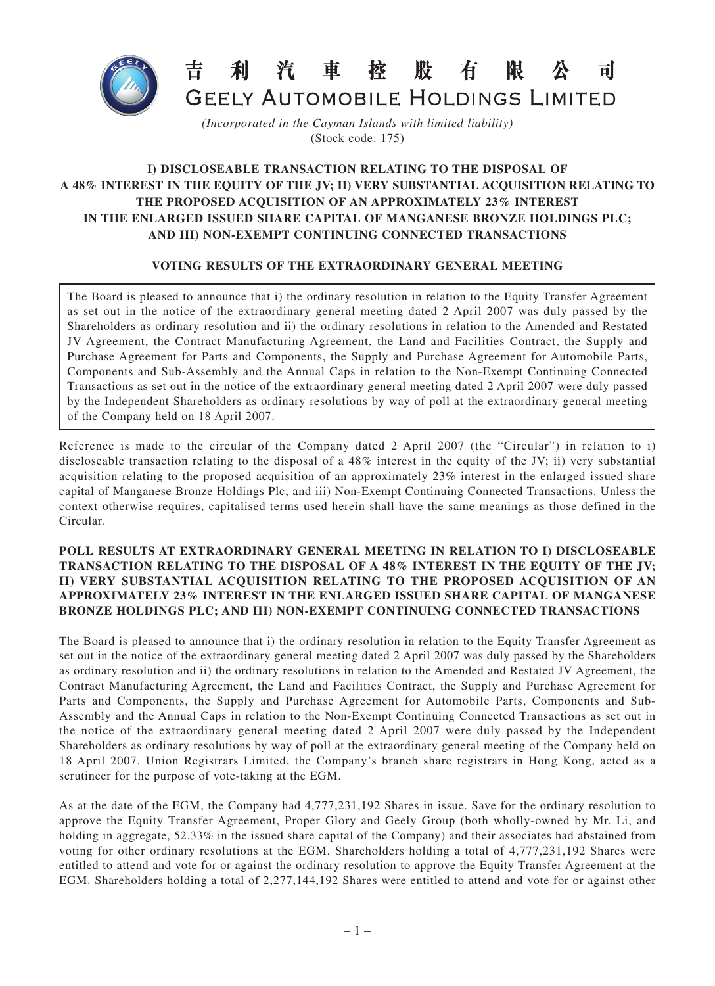

## 汽 車 股有 控 利 限 र्च।

**GEELY AUTOMOBILE HOLDINGS LIMITED** 

*(Incorporated in the Cayman Islands with limited liability)* (Stock code: 175)

## **I) DISCLOSEABLE TRANSACTION RELATING TO THE DISPOSAL OF A 48% INTEREST IN THE EQUITY OF THE JV; II) VERY SUBSTANTIAL ACQUISITION RELATING TO THE PROPOSED ACQUISITION OF AN APPROXIMATELY 23% INTEREST IN THE ENLARGED ISSUED SHARE CAPITAL OF MANGANESE BRONZE HOLDINGS PLC; AND III) NON-EXEMPT CONTINUING CONNECTED TRANSACTIONS**

## **VOTING RESULTS OF THE EXTRAORDINARY GENERAL MEETING**

The Board is pleased to announce that i) the ordinary resolution in relation to the Equity Transfer Agreement as set out in the notice of the extraordinary general meeting dated 2 April 2007 was duly passed by the Shareholders as ordinary resolution and ii) the ordinary resolutions in relation to the Amended and Restated JV Agreement, the Contract Manufacturing Agreement, the Land and Facilities Contract, the Supply and Purchase Agreement for Parts and Components, the Supply and Purchase Agreement for Automobile Parts, Components and Sub-Assembly and the Annual Caps in relation to the Non-Exempt Continuing Connected Transactions as set out in the notice of the extraordinary general meeting dated 2 April 2007 were duly passed by the Independent Shareholders as ordinary resolutions by way of poll at the extraordinary general meeting of the Company held on 18 April 2007.

Reference is made to the circular of the Company dated 2 April 2007 (the "Circular") in relation to i) discloseable transaction relating to the disposal of a 48% interest in the equity of the JV; ii) very substantial acquisition relating to the proposed acquisition of an approximately 23% interest in the enlarged issued share capital of Manganese Bronze Holdings Plc; and iii) Non-Exempt Continuing Connected Transactions. Unless the context otherwise requires, capitalised terms used herein shall have the same meanings as those defined in the Circular.

## **POLL RESULTS AT EXTRAORDINARY GENERAL MEETING IN RELATION TO I) DISCLOSEABLE TRANSACTION RELATING TO THE DISPOSAL OF A 48% INTEREST IN THE EQUITY OF THE JV; II) VERY SUBSTANTIAL ACQUISITION RELATING TO THE PROPOSED ACQUISITION OF AN APPROXIMATELY 23% INTEREST IN THE ENLARGED ISSUED SHARE CAPITAL OF MANGANESE BRONZE HOLDINGS PLC; AND III) NON-EXEMPT CONTINUING CONNECTED TRANSACTIONS**

The Board is pleased to announce that i) the ordinary resolution in relation to the Equity Transfer Agreement as set out in the notice of the extraordinary general meeting dated 2 April 2007 was duly passed by the Shareholders as ordinary resolution and ii) the ordinary resolutions in relation to the Amended and Restated JV Agreement, the Contract Manufacturing Agreement, the Land and Facilities Contract, the Supply and Purchase Agreement for Parts and Components, the Supply and Purchase Agreement for Automobile Parts, Components and Sub-Assembly and the Annual Caps in relation to the Non-Exempt Continuing Connected Transactions as set out in the notice of the extraordinary general meeting dated 2 April 2007 were duly passed by the Independent Shareholders as ordinary resolutions by way of poll at the extraordinary general meeting of the Company held on 18 April 2007. Union Registrars Limited, the Company's branch share registrars in Hong Kong, acted as a scrutineer for the purpose of vote-taking at the EGM.

As at the date of the EGM, the Company had 4,777,231,192 Shares in issue. Save for the ordinary resolution to approve the Equity Transfer Agreement, Proper Glory and Geely Group (both wholly-owned by Mr. Li, and holding in aggregate, 52.33% in the issued share capital of the Company) and their associates had abstained from voting for other ordinary resolutions at the EGM. Shareholders holding a total of 4,777,231,192 Shares were entitled to attend and vote for or against the ordinary resolution to approve the Equity Transfer Agreement at the EGM. Shareholders holding a total of 2,277,144,192 Shares were entitled to attend and vote for or against other